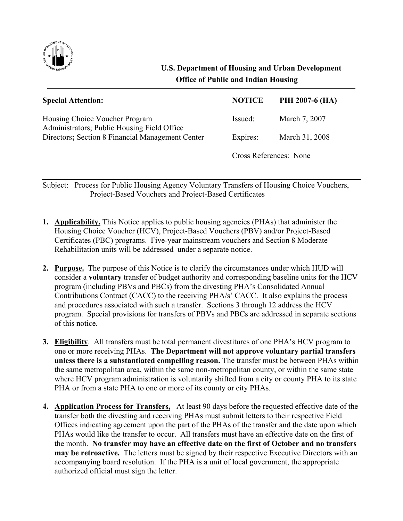

## **U.S. Department of Housing and Urban Development Office of Public and Indian Housing**

| <b>Special Attention:</b>                                                                                                         | <b>NOTICE</b>          | PIH 2007-6 (HA) |
|-----------------------------------------------------------------------------------------------------------------------------------|------------------------|-----------------|
| Housing Choice Voucher Program<br>Administrators; Public Housing Field Office<br>Directors; Section 8 Financial Management Center | Issued:                | March 7, 2007   |
|                                                                                                                                   | Expires:               | March 31, 2008  |
|                                                                                                                                   | Cross References: None |                 |

Subject: Process for Public Housing Agency Voluntary Transfers of Housing Choice Vouchers, Project-Based Vouchers and Project-Based Certificates

- **1. Applicability.** This Notice applies to public housing agencies (PHAs) that administer the Housing Choice Voucher (HCV), Project-Based Vouchers (PBV) and/or Project-Based Certificates (PBC) programs. Five-year mainstream vouchers and Section 8 Moderate Rehabilitation units will be addressed under a separate notice.
- **2. Purpose.** The purpose of this Notice is to clarify the circumstances under which HUD will consider a **voluntary** transfer of budget authority and corresponding baseline units for the HCV program (including PBVs and PBCs) from the divesting PHA's Consolidated Annual Contributions Contract (CACC) to the receiving PHA/s' CACC. It also explains the process and procedures associated with such a transfer. Sections 3 through 12 address the HCV program. Special provisions for transfers of PBVs and PBCs are addressed in separate sections of this notice.
- **3. Eligibility**. All transfers must be total permanent divestitures of one PHA's HCV program to one or more receiving PHAs. **The Department will not approve voluntary partial transfers unless there is a substantiated compelling reason.** The transfer must be between PHAs within the same metropolitan area, within the same non-metropolitan county, or within the same state where HCV program administration is voluntarily shifted from a city or county PHA to its state PHA or from a state PHA to one or more of its county or city PHAs.
- **4. Application Process for Transfers,** At least 90 days before the requested effective date of the transfer both the divesting and receiving PHAs must submit letters to their respective Field Offices indicating agreement upon the part of the PHAs of the transfer and the date upon which PHAs would like the transfer to occur. All transfers must have an effective date on the first of the month. **No transfer may have an effective date on the first of October and no transfers may be retroactive.** The letters must be signed by their respective Executive Directors with an accompanying board resolution. If the PHA is a unit of local government, the appropriate authorized official must sign the letter.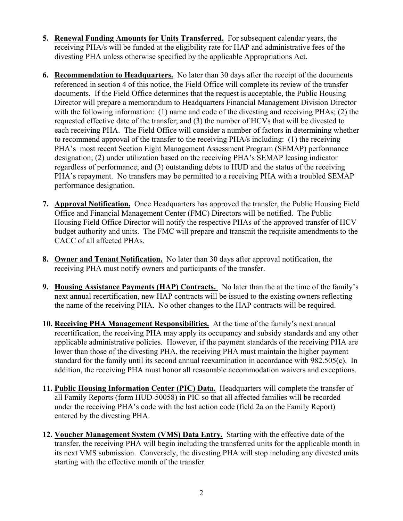- **5. Renewal Funding Amounts for Units Transferred.** For subsequent calendar years, the receiving PHA/s will be funded at the eligibility rate for HAP and administrative fees of the divesting PHA unless otherwise specified by the applicable Appropriations Act.
- **6. Recommendation to Headquarters.** No later than 30 days after the receipt of the documents referenced in section 4 of this notice, the Field Office will complete its review of the transfer documents. If the Field Office determines that the request is acceptable, the Public Housing Director will prepare a memorandum to Headquarters Financial Management Division Director with the following information: (1) name and code of the divesting and receiving PHAs; (2) the requested effective date of the transfer; and (3) the number of HCVs that will be divested to each receiving PHA. The Field Office will consider a number of factors in determining whether to recommend approval of the transfer to the receiving PHA/s including: (1) the receiving PHA's most recent Section Eight Management Assessment Program (SEMAP) performance designation; (2) under utilization based on the receiving PHA's SEMAP leasing indicator regardless of performance; and (3) outstanding debts to HUD and the status of the receiving PHA's repayment. No transfers may be permitted to a receiving PHA with a troubled SEMAP performance designation.
- **7. Approval Notification.** Once Headquarters has approved the transfer, the Public Housing Field Office and Financial Management Center (FMC) Directors will be notified. The Public Housing Field Office Director will notify the respective PHAs of the approved transfer of HCV budget authority and units. The FMC will prepare and transmit the requisite amendments to the CACC of all affected PHAs.
- **8. Owner and Tenant Notification.** No later than 30 days after approval notification, the receiving PHA must notify owners and participants of the transfer.
- **9. Housing Assistance Payments (HAP) Contracts.** No later than the at the time of the family's next annual recertification, new HAP contracts will be issued to the existing owners reflecting the name of the receiving PHA. No other changes to the HAP contracts will be required.
- **10. Receiving PHA Management Responsibilities.** At the time of the family's next annual recertification, the receiving PHA may apply its occupancy and subsidy standards and any other applicable administrative policies. However, if the payment standards of the receiving PHA are lower than those of the divesting PHA, the receiving PHA must maintain the higher payment standard for the family until its second annual reexamination in accordance with 982.505(c). In addition, the receiving PHA must honor all reasonable accommodation waivers and exceptions.
- **11. Public Housing Information Center (PIC) Data.** Headquarters will complete the transfer of all Family Reports (form HUD-50058) in PIC so that all affected families will be recorded under the receiving PHA's code with the last action code (field 2a on the Family Report) entered by the divesting PHA.
- **12. Voucher Management System (VMS) Data Entry.** Starting with the effective date of the transfer, the receiving PHA will begin including the transferred units for the applicable month in its next VMS submission. Conversely, the divesting PHA will stop including any divested units starting with the effective month of the transfer.